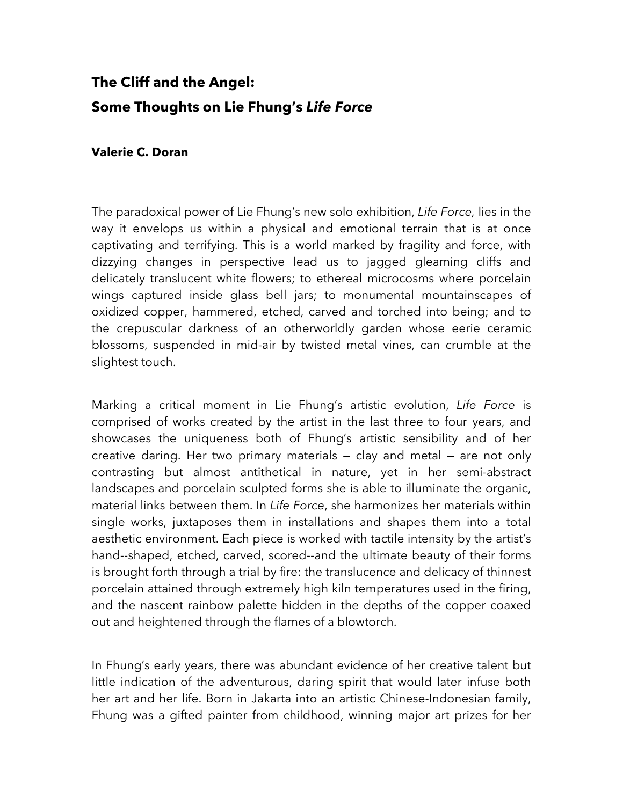## **The Cliff and the Angel: Some Thoughts on Lie Fhung's** *Life Force*

## **Valerie C. Doran**

The paradoxical power of Lie Fhung's new solo exhibition, *Life Force,* lies in the way it envelops us within a physical and emotional terrain that is at once captivating and terrifying. This is a world marked by fragility and force, with dizzying changes in perspective lead us to jagged gleaming cliffs and delicately translucent white flowers; to ethereal microcosms where porcelain wings captured inside glass bell jars; to monumental mountainscapes of oxidized copper, hammered, etched, carved and torched into being; and to the crepuscular darkness of an otherworldly garden whose eerie ceramic blossoms, suspended in mid-air by twisted metal vines, can crumble at the slightest touch.

Marking a critical moment in Lie Fhung's artistic evolution, *Life Force* is comprised of works created by the artist in the last three to four years, and showcases the uniqueness both of Fhung's artistic sensibility and of her creative daring. Her two primary materials — clay and metal — are not only contrasting but almost antithetical in nature, yet in her semi-abstract landscapes and porcelain sculpted forms she is able to illuminate the organic, material links between them. In *Life Force*, she harmonizes her materials within single works, juxtaposes them in installations and shapes them into a total aesthetic environment. Each piece is worked with tactile intensity by the artist's hand--shaped, etched, carved, scored--and the ultimate beauty of their forms is brought forth through a trial by fire: the translucence and delicacy of thinnest porcelain attained through extremely high kiln temperatures used in the firing, and the nascent rainbow palette hidden in the depths of the copper coaxed out and heightened through the flames of a blowtorch.

In Fhung's early years, there was abundant evidence of her creative talent but little indication of the adventurous, daring spirit that would later infuse both her art and her life. Born in Jakarta into an artistic Chinese-Indonesian family, Fhung was a gifted painter from childhood, winning major art prizes for her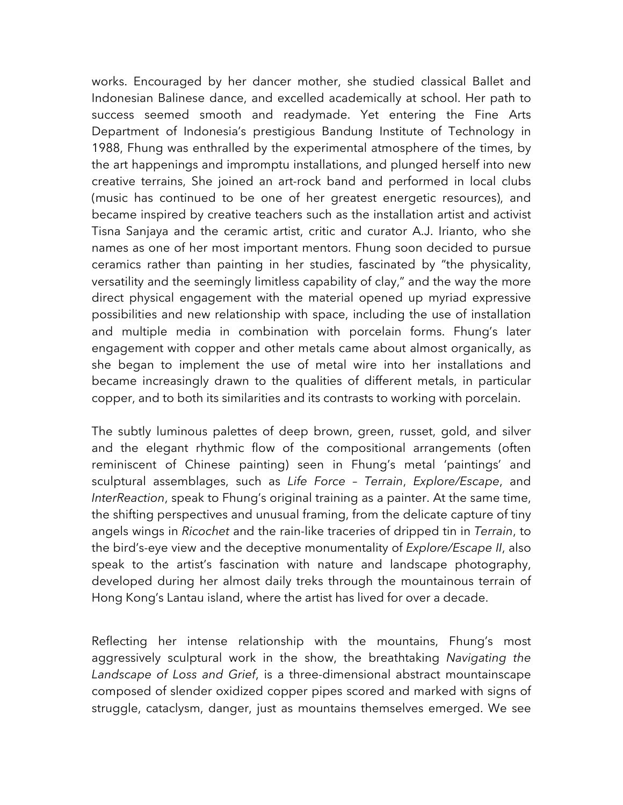works. Encouraged by her dancer mother, she studied classical Ballet and Indonesian Balinese dance, and excelled academically at school. Her path to success seemed smooth and readymade. Yet entering the Fine Arts Department of Indonesia's prestigious Bandung Institute of Technology in 1988, Fhung was enthralled by the experimental atmosphere of the times, by the art happenings and impromptu installations, and plunged herself into new creative terrains, She joined an art-rock band and performed in local clubs (music has continued to be one of her greatest energetic resources), and became inspired by creative teachers such as the installation artist and activist Tisna Sanjaya and the ceramic artist, critic and curator A.J. Irianto, who she names as one of her most important mentors. Fhung soon decided to pursue ceramics rather than painting in her studies, fascinated by "the physicality, versatility and the seemingly limitless capability of clay," and the way the more direct physical engagement with the material opened up myriad expressive possibilities and new relationship with space, including the use of installation and multiple media in combination with porcelain forms. Fhung's later engagement with copper and other metals came about almost organically, as she began to implement the use of metal wire into her installations and became increasingly drawn to the qualities of different metals, in particular copper, and to both its similarities and its contrasts to working with porcelain.

The subtly luminous palettes of deep brown, green, russet, gold, and silver and the elegant rhythmic flow of the compositional arrangements (often reminiscent of Chinese painting) seen in Fhung's metal 'paintings' and sculptural assemblages, such as *Life Force – Terrain*, *Explore/Escape*, and *InterReaction*, speak to Fhung's original training as a painter. At the same time, the shifting perspectives and unusual framing, from the delicate capture of tiny angels wings in *Ricochet* and the rain-like traceries of dripped tin in *Terrain*, to the bird's-eye view and the deceptive monumentality of *Explore/Escape II*, also speak to the artist's fascination with nature and landscape photography, developed during her almost daily treks through the mountainous terrain of Hong Kong's Lantau island, where the artist has lived for over a decade.

Reflecting her intense relationship with the mountains, Fhung's most aggressively sculptural work in the show, the breathtaking *Navigating the Landscape of Loss and Grief*, is a three-dimensional abstract mountainscape composed of slender oxidized copper pipes scored and marked with signs of struggle, cataclysm, danger, just as mountains themselves emerged. We see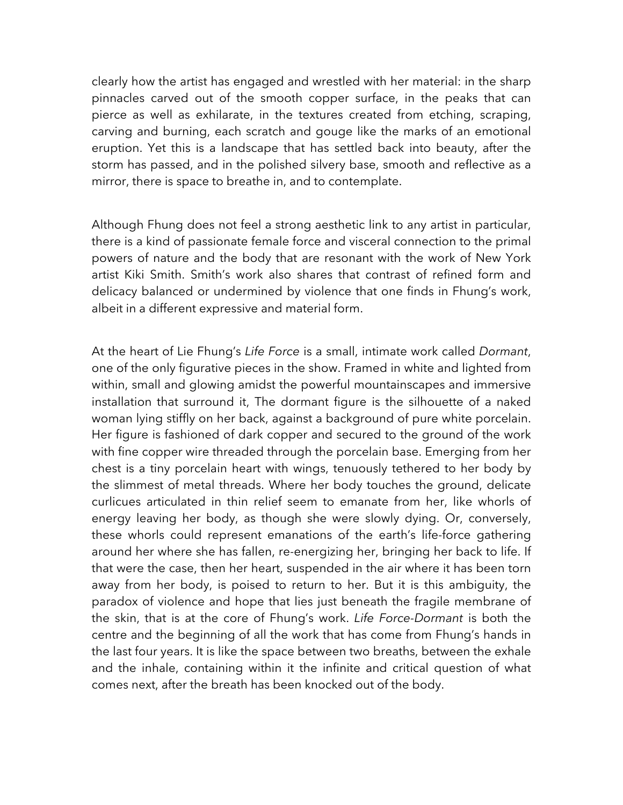clearly how the artist has engaged and wrestled with her material: in the sharp pinnacles carved out of the smooth copper surface, in the peaks that can pierce as well as exhilarate, in the textures created from etching, scraping, carving and burning, each scratch and gouge like the marks of an emotional eruption. Yet this is a landscape that has settled back into beauty, after the storm has passed, and in the polished silvery base, smooth and reflective as a mirror, there is space to breathe in, and to contemplate.

Although Fhung does not feel a strong aesthetic link to any artist in particular, there is a kind of passionate female force and visceral connection to the primal powers of nature and the body that are resonant with the work of New York artist Kiki Smith. Smith's work also shares that contrast of refined form and delicacy balanced or undermined by violence that one finds in Fhung's work, albeit in a different expressive and material form.

At the heart of Lie Fhung's *Life Force* is a small, intimate work called *Dormant*, one of the only figurative pieces in the show. Framed in white and lighted from within, small and glowing amidst the powerful mountainscapes and immersive installation that surround it, The dormant figure is the silhouette of a naked woman lying stiffly on her back, against a background of pure white porcelain. Her figure is fashioned of dark copper and secured to the ground of the work with fine copper wire threaded through the porcelain base. Emerging from her chest is a tiny porcelain heart with wings, tenuously tethered to her body by the slimmest of metal threads. Where her body touches the ground, delicate curlicues articulated in thin relief seem to emanate from her, like whorls of energy leaving her body, as though she were slowly dying. Or, conversely, these whorls could represent emanations of the earth's life-force gathering around her where she has fallen, re-energizing her, bringing her back to life. If that were the case, then her heart, suspended in the air where it has been torn away from her body, is poised to return to her. But it is this ambiguity, the paradox of violence and hope that lies just beneath the fragile membrane of the skin, that is at the core of Fhung's work. *Life Force-Dormant* is both the centre and the beginning of all the work that has come from Fhung's hands in the last four years. It is like the space between two breaths, between the exhale and the inhale, containing within it the infinite and critical question of what comes next, after the breath has been knocked out of the body.